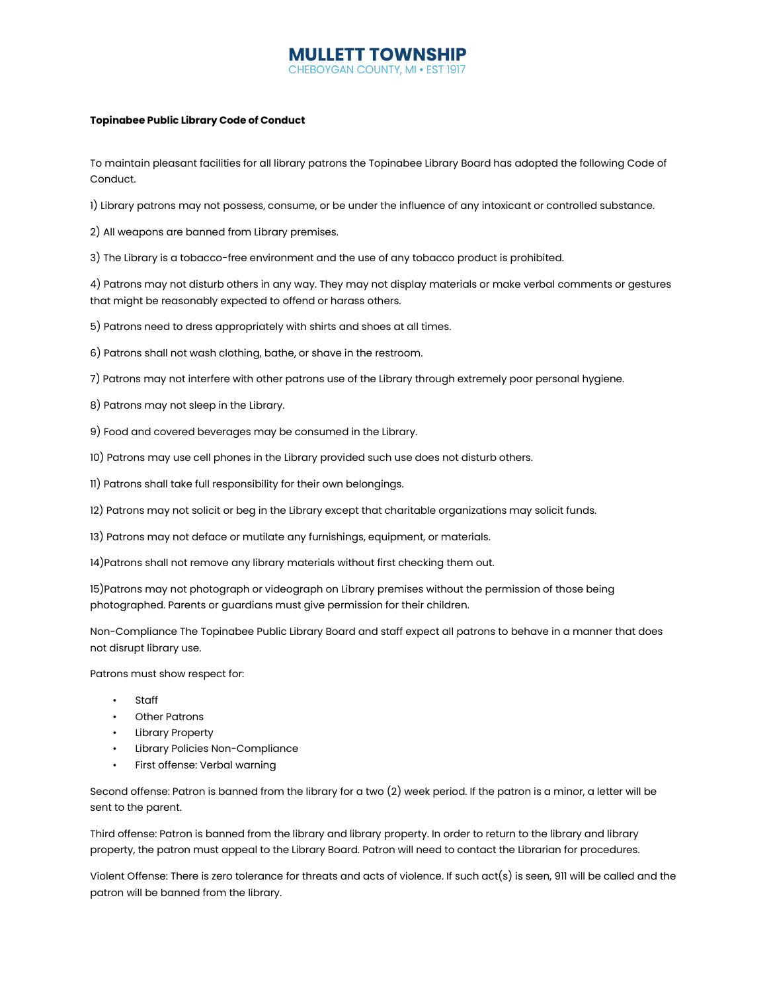## **MULLETT TOWNSHIP** YGAN COUNTY, MI . EST

## **Topinabee Public Library Code of Conduct**

To maintain pleasant facilities for all library patrons the Topinabee Library Board has adopted the following Code of Conduct.

1) Library patrons may not possess, consume, or be under the influence of any intoxicant or controlled substance.

2) All weapons are banned from Library premises.

3) The Library is a tobacco-free environment and the use of any tobacco product is prohibited.

4) Patrons may not disturb others in any way. They may not display materials or make verbal comments or gestures that might be reasonably expected to offend or harass others.

5) Patrons need to dress appropriately with shirts and shoes at all times.

6) Patrons shall not wash clothing, bathe, or shave in the restroom.

7) Patrons may not interfere with other patrons use of the Library through extremely poor personal hygiene.

8) Patrons may not sleep in the Library.

9) Food and covered beverages may be consumed in the Library.

10) Patrons may use cell phones in the Library provided such use does not disturb others.

11) Patrons shall take full responsibility for their own belongings.

12) Patrons may not solicit or beg in the Library except that charitable organizations may solicit funds.

13) Patrons may not deface or mutilate any furnishings, equipment, or materials.

14)Patrons shall not remove any library materials without first checking them out.

15)Patrons may not photograph or videograph on Library premises without the permission of those being photographed. Parents or guardians must give permission for their children.

Non-Compliance The Topinabee Public Library Board and staff expect all patrons to behave in a manner that does not disrupt library use.

Patrons must show respect for:

- Staff
- Other Patrons
- Library Property
- Library Policies Non-Compliance
- First offense: Verbal warning

Second offense: Patron is banned from the library for a two (2) week period. If the patron is a minor, a letter will be sent to the parent.

Third offense: Patron is banned from the library and library property. In order to return to the library and library property, the patron must appeal to the Library Board. Patron will need to contact the Librarian for procedures.

Violent Offense: There is zero tolerance for threats and acts of violence. If such act(s) is seen, 911 will be called and the patron will be banned from the library.